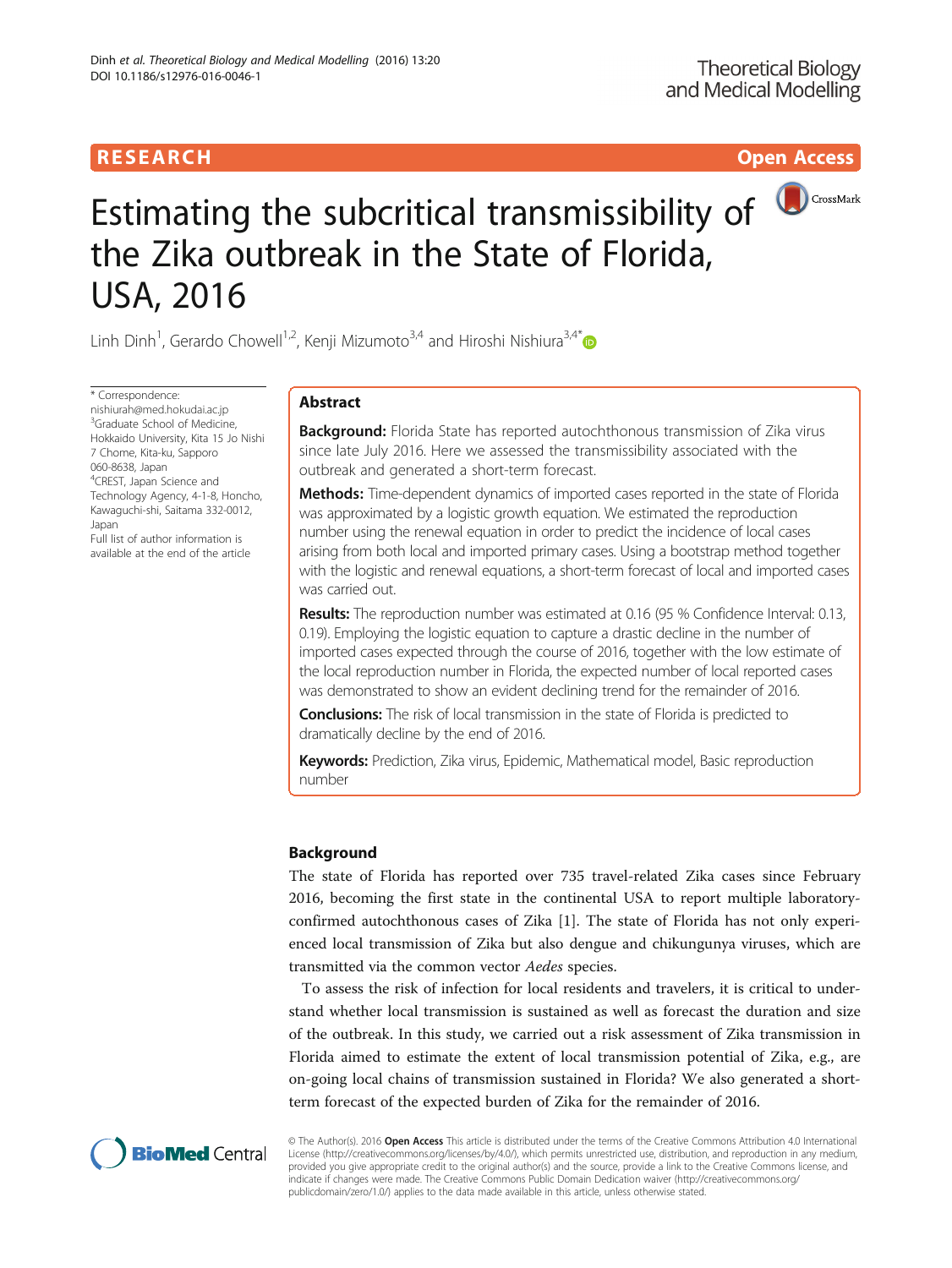# R E S EAR CH Open Access



# Estimating the subcritical transmissibility of **O**CrossMark the Zika outbreak in the State of Florida, USA, 2016

Linh Dinh<sup>1</sup>, Gerardo Chowell<sup>1,2</sup>, Kenji Mizumoto<sup>3,4</sup> and Hiroshi Nishiura<sup>3,4\*</sup>

\* Correspondence: [nishiurah@med.hokudai.ac.jp](mailto:nishiurah@med.hokudai.ac.jp) <sup>3</sup>Graduate School of Medicine, Hokkaido University, Kita 15 Jo Nishi 7 Chome, Kita-ku, Sapporo 060-8638, Japan <sup>4</sup>CREST, Japan Science and Technology Agency, 4-1-8, Honcho, Kawaguchi-shi, Saitama 332-0012, Japan Full list of author information is available at the end of the article

# Abstract

**Background:** Florida State has reported autochthonous transmission of Zika virus since late July 2016. Here we assessed the transmissibility associated with the outbreak and generated a short-term forecast.

**Methods:** Time-dependent dynamics of imported cases reported in the state of Florida was approximated by a logistic growth equation. We estimated the reproduction number using the renewal equation in order to predict the incidence of local cases arising from both local and imported primary cases. Using a bootstrap method together with the logistic and renewal equations, a short-term forecast of local and imported cases was carried out.

Results: The reproduction number was estimated at 0.16 (95 % Confidence Interval: 0.13, 0.19). Employing the logistic equation to capture a drastic decline in the number of imported cases expected through the course of 2016, together with the low estimate of the local reproduction number in Florida, the expected number of local reported cases was demonstrated to show an evident declining trend for the remainder of 2016.

**Conclusions:** The risk of local transmission in the state of Florida is predicted to dramatically decline by the end of 2016.

Keywords: Prediction, Zika virus, Epidemic, Mathematical model, Basic reproduction number

# Background

The state of Florida has reported over 735 travel-related Zika cases since February 2016, becoming the first state in the continental USA to report multiple laboratoryconfirmed autochthonous cases of Zika [[1\]](#page-5-0). The state of Florida has not only experienced local transmission of Zika but also dengue and chikungunya viruses, which are transmitted via the common vector Aedes species.

To assess the risk of infection for local residents and travelers, it is critical to understand whether local transmission is sustained as well as forecast the duration and size of the outbreak. In this study, we carried out a risk assessment of Zika transmission in Florida aimed to estimate the extent of local transmission potential of Zika, e.g., are on-going local chains of transmission sustained in Florida? We also generated a shortterm forecast of the expected burden of Zika for the remainder of 2016.



© The Author(s). 2016 Open Access This article is distributed under the terms of the Creative Commons Attribution 4.0 International License ([http://creativecommons.org/licenses/by/4.0/\)](http://creativecommons.org/licenses/by/4.0/), which permits unrestricted use, distribution, and reproduction in any medium, provided you give appropriate credit to the original author(s) and the source, provide a link to the Creative Commons license, and indicate if changes were made. The Creative Commons Public Domain Dedication waiver ([http://creativecommons.org/](http://creativecommons.org/publicdomain/zero/1.0/) [publicdomain/zero/1.0/\)](http://creativecommons.org/publicdomain/zero/1.0/) applies to the data made available in this article, unless otherwise stated.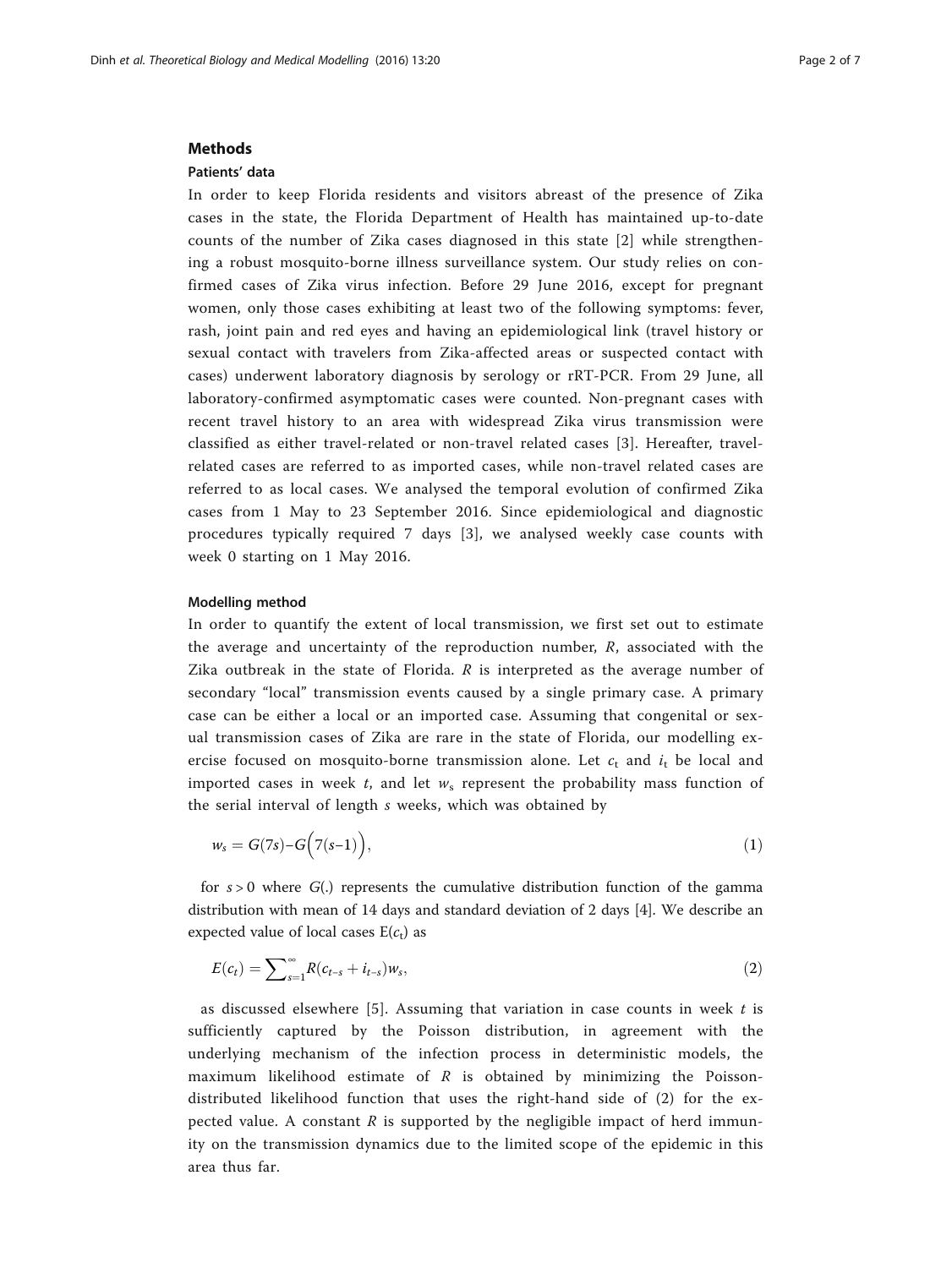#### **Methods**

# Patients' data

In order to keep Florida residents and visitors abreast of the presence of Zika cases in the state, the Florida Department of Health has maintained up-to-date counts of the number of Zika cases diagnosed in this state [[2\]](#page-6-0) while strengthening a robust mosquito-borne illness surveillance system. Our study relies on confirmed cases of Zika virus infection. Before 29 June 2016, except for pregnant women, only those cases exhibiting at least two of the following symptoms: fever, rash, joint pain and red eyes and having an epidemiological link (travel history or sexual contact with travelers from Zika-affected areas or suspected contact with cases) underwent laboratory diagnosis by serology or rRT-PCR. From 29 June, all laboratory-confirmed asymptomatic cases were counted. Non-pregnant cases with recent travel history to an area with widespread Zika virus transmission were classified as either travel-related or non-travel related cases [[3\]](#page-6-0). Hereafter, travelrelated cases are referred to as imported cases, while non-travel related cases are referred to as local cases. We analysed the temporal evolution of confirmed Zika cases from 1 May to 23 September 2016. Since epidemiological and diagnostic procedures typically required 7 days [[3\]](#page-6-0), we analysed weekly case counts with week 0 starting on 1 May 2016.

### Modelling method

In order to quantify the extent of local transmission, we first set out to estimate the average and uncertainty of the reproduction number,  $R$ , associated with the Zika outbreak in the state of Florida.  $R$  is interpreted as the average number of secondary "local" transmission events caused by a single primary case. A primary case can be either a local or an imported case. Assuming that congenital or sexual transmission cases of Zika are rare in the state of Florida, our modelling exercise focused on mosquito-borne transmission alone. Let  $c_t$  and  $i_t$  be local and imported cases in week t, and let  $w_s$  represent the probability mass function of the serial interval of length s weeks, which was obtained by

$$
w_s = G(7s) - G\left(7(s-1)\right),\tag{1}
$$

for  $s > 0$  where  $G(.)$  represents the cumulative distribution function of the gamma distribution with mean of 14 days and standard deviation of 2 days [\[4](#page-6-0)]. We describe an expected value of local cases  $E(c_t)$  as

$$
E(c_t) = \sum_{s=1}^{\infty} R(c_{t-s} + i_{t-s})w_s,
$$
\n(2)

as discussed elsewhere [\[5](#page-6-0)]. Assuming that variation in case counts in week  $t$  is sufficiently captured by the Poisson distribution, in agreement with the underlying mechanism of the infection process in deterministic models, the maximum likelihood estimate of  $R$  is obtained by minimizing the Poissondistributed likelihood function that uses the right-hand side of (2) for the expected value. A constant  $R$  is supported by the negligible impact of herd immunity on the transmission dynamics due to the limited scope of the epidemic in this area thus far.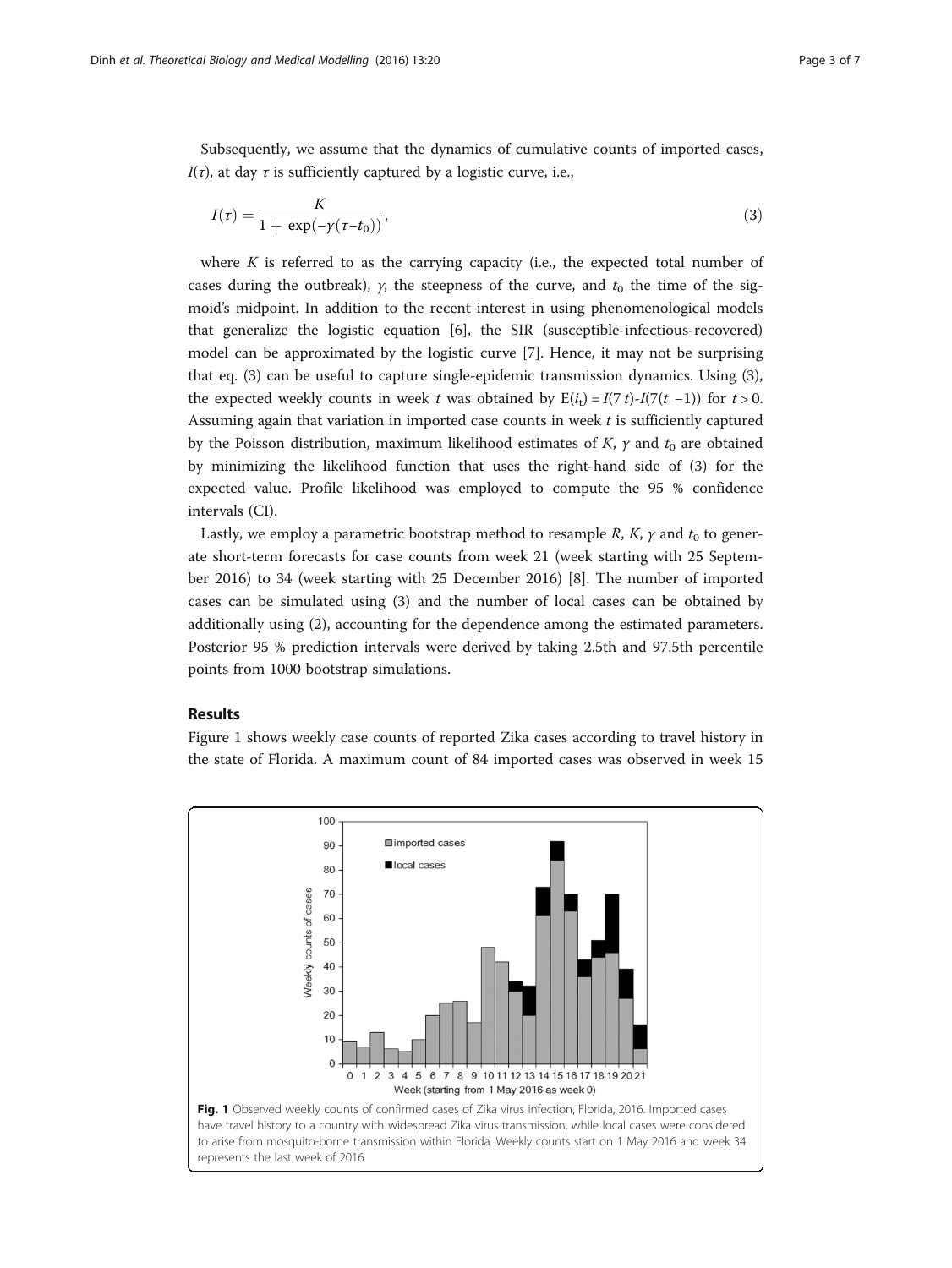Subsequently, we assume that the dynamics of cumulative counts of imported cases,  $I(\tau)$ , at day  $\tau$  is sufficiently captured by a logistic curve, i.e.,

$$
I(\tau) = \frac{K}{1 + \exp(-\gamma(\tau - t_0))},\tag{3}
$$

where  $K$  is referred to as the carrying capacity (i.e., the expected total number of cases during the outbreak),  $y$ , the steepness of the curve, and  $t_0$  the time of the sigmoid's midpoint. In addition to the recent interest in using phenomenological models that generalize the logistic equation [[6](#page-6-0)], the SIR (susceptible-infectious-recovered) model can be approximated by the logistic curve [\[7](#page-6-0)]. Hence, it may not be surprising that eq. (3) can be useful to capture single-epidemic transmission dynamics. Using (3), the expected weekly counts in week t was obtained by  $E(i_t) = I(7 t) - I(7(t - 1))$  for t > 0. Assuming again that variation in imported case counts in week  $t$  is sufficiently captured by the Poisson distribution, maximum likelihood estimates of K,  $\gamma$  and  $t_0$  are obtained by minimizing the likelihood function that uses the right-hand side of (3) for the expected value. Profile likelihood was employed to compute the 95 % confidence intervals (CI).

Lastly, we employ a parametric bootstrap method to resample R, K,  $\gamma$  and  $t_0$  to generate short-term forecasts for case counts from week 21 (week starting with 25 September 2016) to 34 (week starting with 25 December 2016) [[8\]](#page-6-0). The number of imported cases can be simulated using (3) and the number of local cases can be obtained by additionally using (2), accounting for the dependence among the estimated parameters. Posterior 95 % prediction intervals were derived by taking 2.5th and 97.5th percentile points from 1000 bootstrap simulations.

#### Results

Figure 1 shows weekly case counts of reported Zika cases according to travel history in the state of Florida. A maximum count of 84 imported cases was observed in week 15

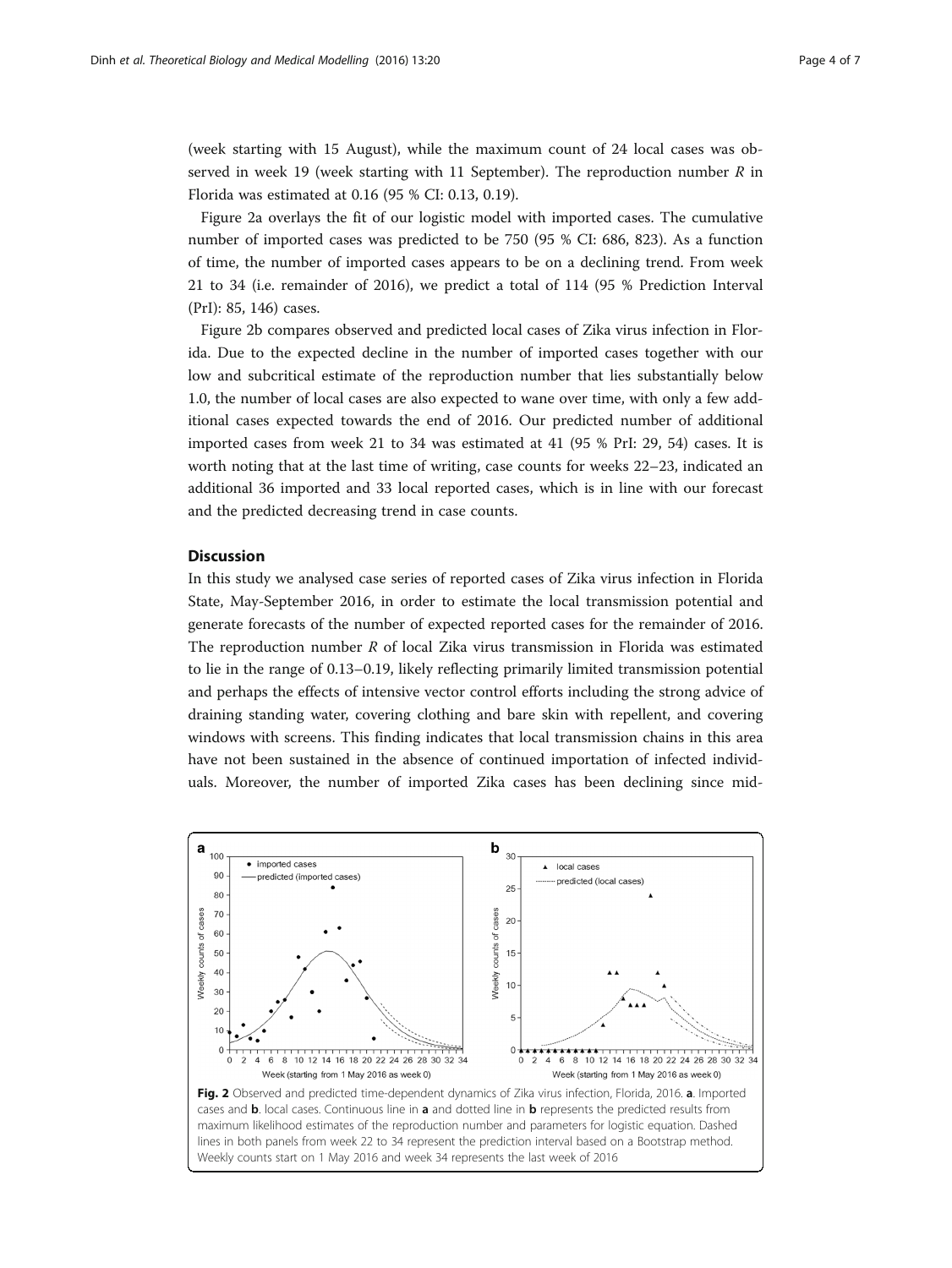(week starting with 15 August), while the maximum count of 24 local cases was observed in week 19 (week starting with 11 September). The reproduction number  $R$  in Florida was estimated at 0.16 (95 % CI: 0.13, 0.19).

Figure 2a overlays the fit of our logistic model with imported cases. The cumulative number of imported cases was predicted to be 750 (95 % CI: 686, 823). As a function of time, the number of imported cases appears to be on a declining trend. From week 21 to 34 (i.e. remainder of 2016), we predict a total of 114 (95 % Prediction Interval (PrI): 85, 146) cases.

Figure 2b compares observed and predicted local cases of Zika virus infection in Florida. Due to the expected decline in the number of imported cases together with our low and subcritical estimate of the reproduction number that lies substantially below 1.0, the number of local cases are also expected to wane over time, with only a few additional cases expected towards the end of 2016. Our predicted number of additional imported cases from week 21 to 34 was estimated at 41 (95 % PrI: 29, 54) cases. It is worth noting that at the last time of writing, case counts for weeks 22–23, indicated an additional 36 imported and 33 local reported cases, which is in line with our forecast and the predicted decreasing trend in case counts.

# **Discussion**

In this study we analysed case series of reported cases of Zika virus infection in Florida State, May-September 2016, in order to estimate the local transmission potential and generate forecasts of the number of expected reported cases for the remainder of 2016. The reproduction number  $R$  of local Zika virus transmission in Florida was estimated to lie in the range of 0.13–0.19, likely reflecting primarily limited transmission potential and perhaps the effects of intensive vector control efforts including the strong advice of draining standing water, covering clothing and bare skin with repellent, and covering windows with screens. This finding indicates that local transmission chains in this area have not been sustained in the absence of continued importation of infected individuals. Moreover, the number of imported Zika cases has been declining since mid-

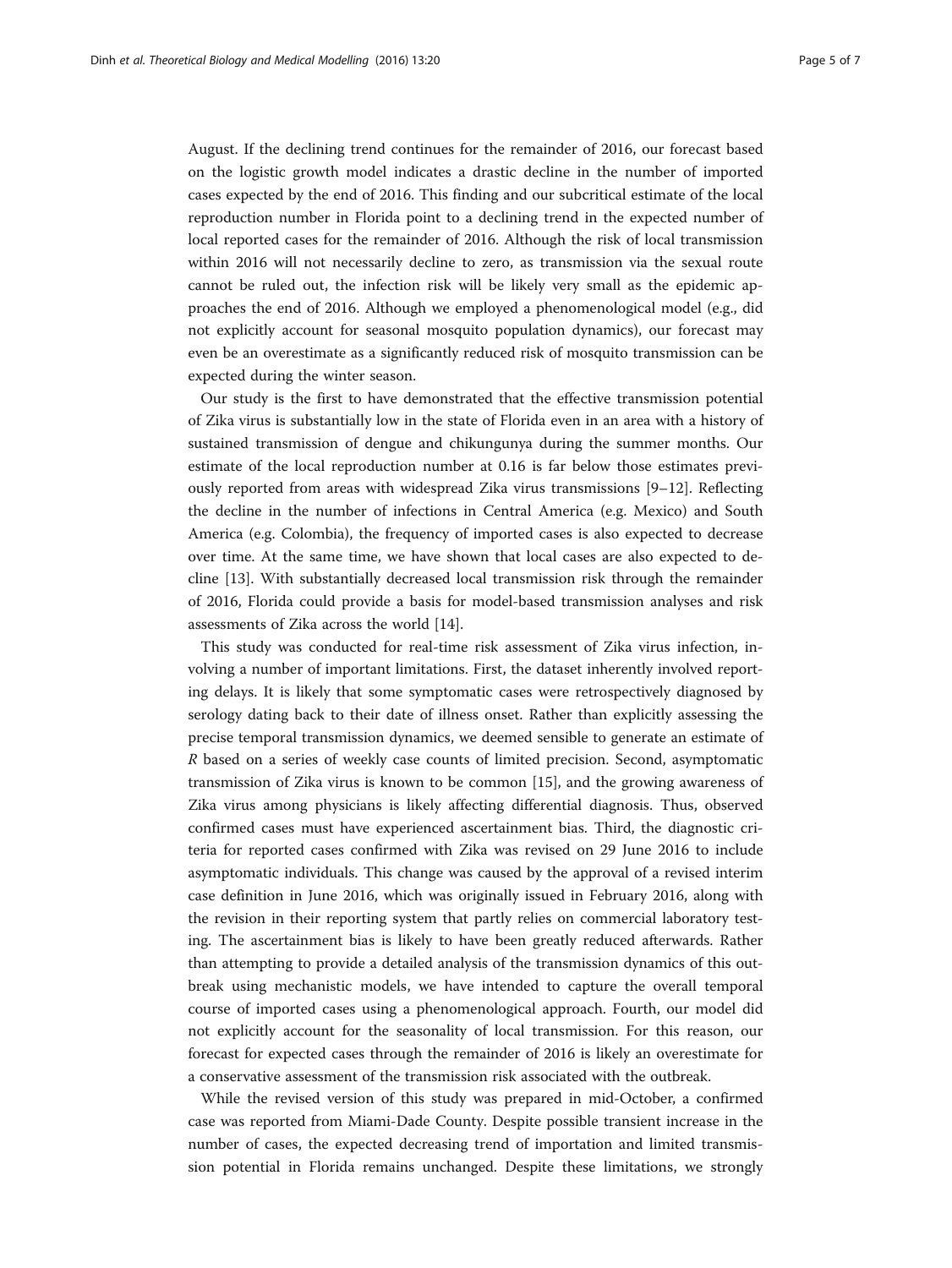August. If the declining trend continues for the remainder of 2016, our forecast based on the logistic growth model indicates a drastic decline in the number of imported cases expected by the end of 2016. This finding and our subcritical estimate of the local reproduction number in Florida point to a declining trend in the expected number of local reported cases for the remainder of 2016. Although the risk of local transmission within 2016 will not necessarily decline to zero, as transmission via the sexual route cannot be ruled out, the infection risk will be likely very small as the epidemic approaches the end of 2016. Although we employed a phenomenological model (e.g., did not explicitly account for seasonal mosquito population dynamics), our forecast may even be an overestimate as a significantly reduced risk of mosquito transmission can be expected during the winter season.

Our study is the first to have demonstrated that the effective transmission potential of Zika virus is substantially low in the state of Florida even in an area with a history of sustained transmission of dengue and chikungunya during the summer months. Our estimate of the local reproduction number at 0.16 is far below those estimates previously reported from areas with widespread Zika virus transmissions  $[9-12]$  $[9-12]$  $[9-12]$  $[9-12]$ . Reflecting the decline in the number of infections in Central America (e.g. Mexico) and South America (e.g. Colombia), the frequency of imported cases is also expected to decrease over time. At the same time, we have shown that local cases are also expected to decline [[13\]](#page-6-0). With substantially decreased local transmission risk through the remainder of 2016, Florida could provide a basis for model-based transmission analyses and risk assessments of Zika across the world [[14\]](#page-6-0).

This study was conducted for real-time risk assessment of Zika virus infection, involving a number of important limitations. First, the dataset inherently involved reporting delays. It is likely that some symptomatic cases were retrospectively diagnosed by serology dating back to their date of illness onset. Rather than explicitly assessing the precise temporal transmission dynamics, we deemed sensible to generate an estimate of R based on a series of weekly case counts of limited precision. Second, asymptomatic transmission of Zika virus is known to be common [\[15\]](#page-6-0), and the growing awareness of Zika virus among physicians is likely affecting differential diagnosis. Thus, observed confirmed cases must have experienced ascertainment bias. Third, the diagnostic criteria for reported cases confirmed with Zika was revised on 29 June 2016 to include asymptomatic individuals. This change was caused by the approval of a revised interim case definition in June 2016, which was originally issued in February 2016, along with the revision in their reporting system that partly relies on commercial laboratory testing. The ascertainment bias is likely to have been greatly reduced afterwards. Rather than attempting to provide a detailed analysis of the transmission dynamics of this outbreak using mechanistic models, we have intended to capture the overall temporal course of imported cases using a phenomenological approach. Fourth, our model did not explicitly account for the seasonality of local transmission. For this reason, our forecast for expected cases through the remainder of 2016 is likely an overestimate for a conservative assessment of the transmission risk associated with the outbreak.

While the revised version of this study was prepared in mid-October, a confirmed case was reported from Miami-Dade County. Despite possible transient increase in the number of cases, the expected decreasing trend of importation and limited transmission potential in Florida remains unchanged. Despite these limitations, we strongly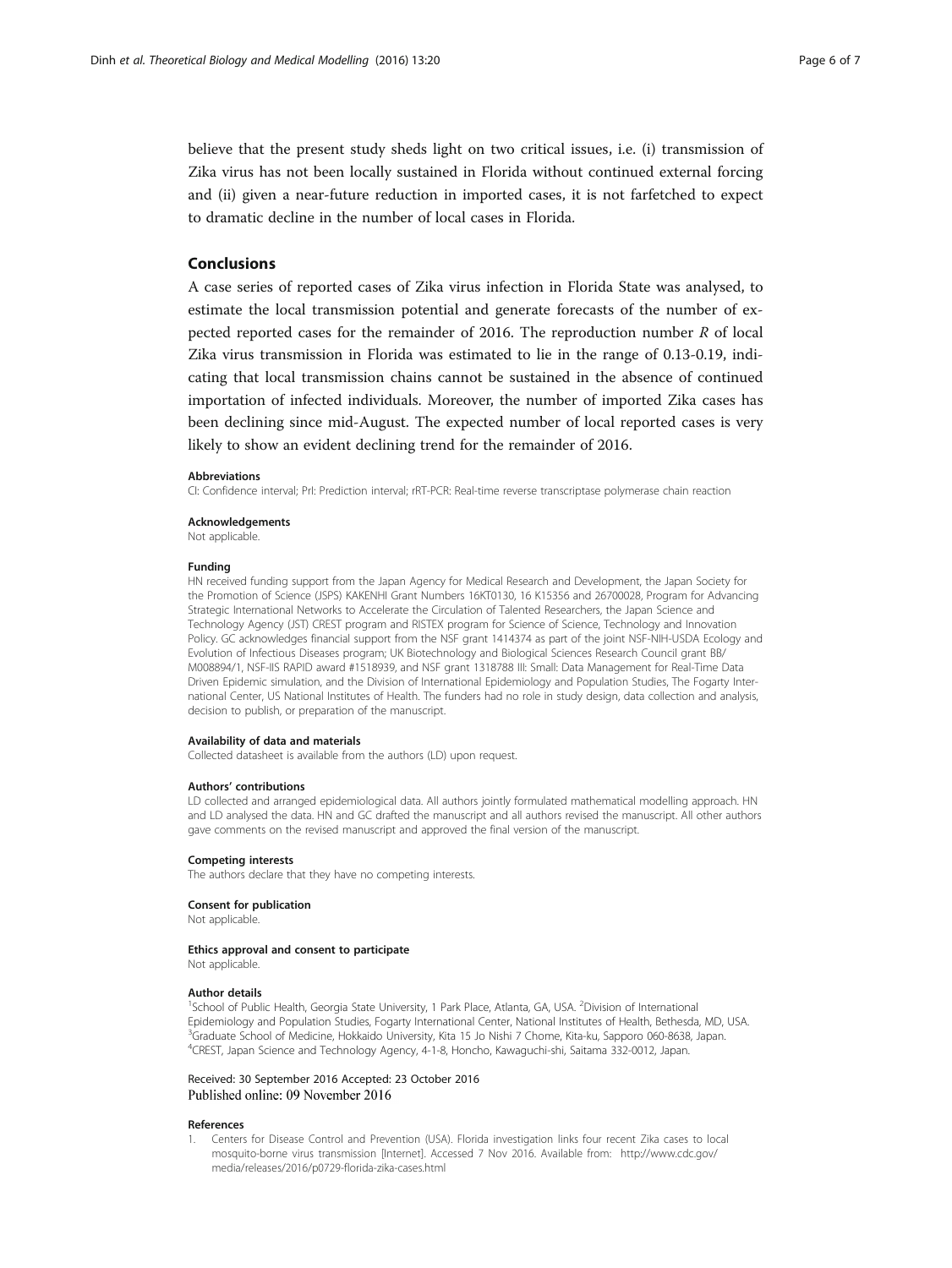<span id="page-5-0"></span>believe that the present study sheds light on two critical issues, i.e. (i) transmission of Zika virus has not been locally sustained in Florida without continued external forcing and (ii) given a near-future reduction in imported cases, it is not farfetched to expect to dramatic decline in the number of local cases in Florida.

# Conclusions

A case series of reported cases of Zika virus infection in Florida State was analysed, to estimate the local transmission potential and generate forecasts of the number of expected reported cases for the remainder of 2016. The reproduction number  $R$  of local Zika virus transmission in Florida was estimated to lie in the range of 0.13-0.19, indicating that local transmission chains cannot be sustained in the absence of continued importation of infected individuals. Moreover, the number of imported Zika cases has been declining since mid-August. The expected number of local reported cases is very likely to show an evident declining trend for the remainder of 2016.

#### Abbreviations

CI: Confidence interval; PrI: Prediction interval; rRT-PCR: Real-time reverse transcriptase polymerase chain reaction

#### Acknowledgements

Not applicable.

#### Funding

HN received funding support from the Japan Agency for Medical Research and Development, the Japan Society for the Promotion of Science (JSPS) KAKENHI Grant Numbers 16KT0130, 16 K15356 and 26700028, Program for Advancing Strategic International Networks to Accelerate the Circulation of Talented Researchers, the Japan Science and Technology Agency (JST) CREST program and RISTEX program for Science of Science, Technology and Innovation Policy. GC acknowledges financial support from the NSF grant 1414374 as part of the joint NSF-NIH-USDA Ecology and Evolution of Infectious Diseases program; UK Biotechnology and Biological Sciences Research Council grant BB/ M008894/1, NSF-IIS RAPID award #1518939, and NSF grant 1318788 III: Small: Data Management for Real-Time Data Driven Epidemic simulation, and the Division of International Epidemiology and Population Studies, The Fogarty International Center, US National Institutes of Health. The funders had no role in study design, data collection and analysis, decision to publish, or preparation of the manuscript.

#### Availability of data and materials

Collected datasheet is available from the authors (LD) upon request.

#### Authors' contributions

LD collected and arranged epidemiological data. All authors jointly formulated mathematical modelling approach. HN and LD analysed the data. HN and GC drafted the manuscript and all authors revised the manuscript. All other authors gave comments on the revised manuscript and approved the final version of the manuscript.

#### Competing interests

The authors declare that they have no competing interests.

#### Consent for publication

Not applicable.

#### Ethics approval and consent to participate

Not applicable.

#### Author details

<sup>1</sup>School of Public Health, Georgia State University, 1 Park Place, Atlanta, GA, USA. <sup>2</sup>Division of International Epidemiology and Population Studies, Fogarty International Center, National Institutes of Health, Bethesda, MD, USA. <sup>3</sup>Graduate School of Medicine, Hokkaido University, Kita 15 Jo Nishi 7 Chome, Kita-ku, Sapporo 060-8638, Japan. 4 CREST, Japan Science and Technology Agency, 4-1-8, Honcho, Kawaguchi-shi, Saitama 332-0012, Japan.

#### Received: 30 September 2016 Accepted: 23 October 2016 Published online: 09 November 2016

#### References

1. Centers for Disease Control and Prevention (USA). Florida investigation links four recent Zika cases to local mosquito-borne virus transmission [Internet]. Accessed 7 Nov 2016. Available from: [http://www.cdc.gov/](http://www.cdc.gov/media/releases/2016/p0729-florida-zika-cases.html) [media/releases/2016/p0729-florida-zika-cases.html](http://www.cdc.gov/media/releases/2016/p0729-florida-zika-cases.html)